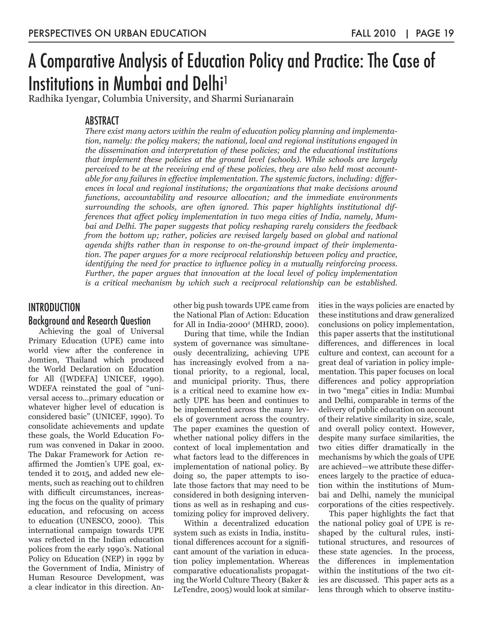# A Comparative Analysis of Education Policy and Practice: The Case of Institutions in Mumbai and Delhi<sup>1</sup>

Radhika Iyengar, Columbia University, and Sharmi Surianarain

# ABSTRACT

*There exist many actors within the realm of education policy planning and implementation, namely: the policy makers; the national, local and regional institutions engaged in the dissemination and interpretation of these policies; and the educational institutions that implement these policies at the ground level (schools). While schools are largely perceived to be at the receiving end of these policies, they are also held most accountable for any failures in effective implementation. The systemic factors, including: differences in local and regional institutions; the organizations that make decisions around functions, accountability and resource allocation; and the immediate environments surrounding the schools, are often ignored. This paper highlights institutional differences that affect policy implementation in two mega cities of India, namely, Mumbai and Delhi. The paper suggests that policy reshaping rarely considers the feedback from the bottom up; rather, policies are revised largely based on global and national agenda shifts rather than in response to on-the-ground impact of their implementation. The paper argues for a more reciprocal relationship between policy and practice, identifying the need for practice to influence policy in a mutually reinforcing process. Further, the paper argues that innovation at the local level of policy implementation is a critical mechanism by which such a reciprocal relationship can be established.* 

# **INTRODUCTION**

#### Background and Research Question

Achieving the goal of Universal Primary Education (UPE) came into world view after the conference in Jomtien, Thailand which produced the World Declaration on Education for All ([WDEFA] UNICEF, 1990). WDEFA reinstated the goal of "universal access to…primary education or whatever higher level of education is considered basic" (UNICEF, 1990). To consolidate achievements and update these goals, the World Education Forum was convened in Dakar in 2000. The Dakar Framework for Action reaffirmed the Jomtien's UPE goal, extended it to 2015, and added new elements, such as reaching out to children with difficult circumstances, increasing the focus on the quality of primary education, and refocusing on access to education (UNESCO, 2000). This international campaign towards UPE was reflected in the Indian education polices from the early 1990's. National Policy on Education (NEP) in 1992 by the Government of India, Ministry of Human Resource Development, was a clear indicator in this direction. Another big push towards UPE came from the National Plan of Action: Education for All in India-2000<sup>2</sup> (MHRD, 2000).

During that time, while the Indian system of governance was simultaneously decentralizing, achieving UPE has increasingly evolved from a national priority, to a regional, local, and municipal priority. Thus, there is a critical need to examine how exactly UPE has been and continues to be implemented across the many levels of government across the country. The paper examines the question of whether national policy differs in the context of local implementation and what factors lead to the differences in implementation of national policy. By doing so, the paper attempts to isolate those factors that may need to be considered in both designing interventions as well as in reshaping and customizing policy for improved delivery.

Within a decentralized education system such as exists in India, institutional differences account for a significant amount of the variation in education policy implementation. Whereas comparative educationalists propagating the World Culture Theory (Baker & LeTendre, 2005) would look at similarities in the ways policies are enacted by these institutions and draw generalized conclusions on policy implementation, this paper asserts that the institutional differences, and differences in local culture and context, can account for a great deal of variation in policy implementation. This paper focuses on local differences and policy appropriation in two "mega" cities in India: Mumbai and Delhi, comparable in terms of the delivery of public education on account of their relative similarity in size, scale, and overall policy context. However, despite many surface similarities, the two cities differ dramatically in the mechanisms by which the goals of UPE are achieved—we attribute these differences largely to the practice of education within the institutions of Mumbai and Delhi, namely the municipal corporations of the cities respectively.

This paper highlights the fact that the national policy goal of UPE is reshaped by the cultural rules, institutional structures, and resources of these state agencies. In the process, the differences in implementation within the institutions of the two cities are discussed. This paper acts as a lens through which to observe institu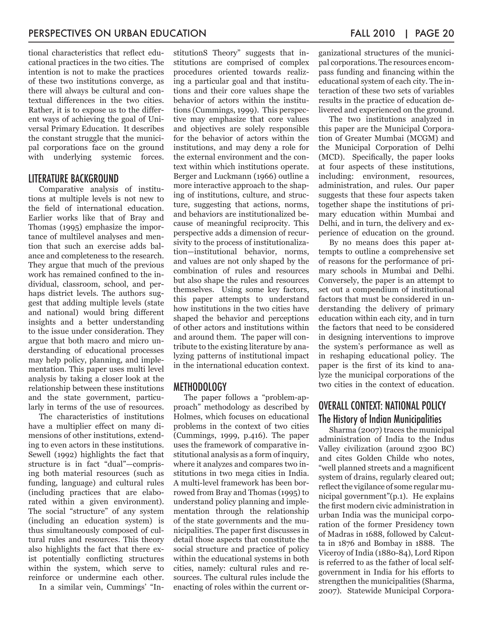tional characteristics that reflect educational practices in the two cities. The intention is not to make the practices of these two institutions converge, as there will always be cultural and contextual differences in the two cities. Rather, it is to expose us to the different ways of achieving the goal of Universal Primary Education. It describes the constant struggle that the municipal corporations face on the ground with underlying systemic forces.

# LITERATURE BACKGROUND

Comparative analysis of institutions at multiple levels is not new to the field of international education. Earlier works like that of Bray and Thomas (1995) emphasize the importance of multilevel analyses and mention that such an exercise adds balance and completeness to the research. They argue that much of the previous work has remained confined to the individual, classroom, school, and perhaps district levels. The authors suggest that adding multiple levels (state and national) would bring different insights and a better understanding to the issue under consideration. They argue that both macro and micro understanding of educational processes may help policy, planning, and implementation. This paper uses multi level analysis by taking a closer look at the relationship between these institutions and the state government, particularly in terms of the use of resources.

The characteristics of institutions have a multiplier effect on many dimensions of other institutions, extending to even actors in these institutions. Sewell (1992) highlights the fact that structure is in fact "dual"—comprising both material resources (such as funding, language) and cultural rules (including practices that are elaborated within a given environment). The social "structure" of any system (including an education system) is thus simultaneously composed of cultural rules and resources. This theory also highlights the fact that there exist potentially conflicting structures within the system, which serve to reinforce or undermine each other.

In a similar vein, Cummings' "In-

stitutionS Theory" suggests that institutions are comprised of complex procedures oriented towards realizing a particular goal and that institutions and their core values shape the behavior of actors within the institutions (Cummings, 1999). This perspective may emphasize that core values and objectives are solely responsible for the behavior of actors within the institutions, and may deny a role for the external environment and the context within which institutions operate. Berger and Luckmann (1966) outline a more interactive approach to the shaping of institutions, culture, and structure, suggesting that actions, norms, and behaviors are institutionalized because of meaningful reciprocity. This perspective adds a dimension of recursivity to the process of institutionalization—institutional behavior, norms, and values are not only shaped by the combination of rules and resources but also shape the rules and resources themselves. Using some key factors, this paper attempts to understand how institutions in the two cities have shaped the behavior and perceptions of other actors and institutions within and around them. The paper will contribute to the existing literature by analyzing patterns of institutional impact in the international education context.

#### METHODOLOGY

The paper follows a "problem-approach" methodology as described by Holmes, which focuses on educational problems in the context of two cities (Cummings, 1999, p.416). The paper uses the framework of comparative institutional analysis as a form of inquiry, where it analyzes and compares two institutions in two mega cities in India. A multi-level framework has been borrowed from Bray and Thomas (1995) to understand policy planning and implementation through the relationship of the state governments and the municipalities. The paper first discusses in detail those aspects that constitute the social structure and practice of policy within the educational systems in both cities, namely: cultural rules and resources. The cultural rules include the enacting of roles within the current organizational structures of the municipal corporations. The resources encompass funding and financing within the educational system of each city. The interaction of these two sets of variables results in the practice of education delivered and experienced on the ground.

The two institutions analyzed in this paper are the Municipal Corporation of Greater Mumbai (MCGM) and the Municipal Corporation of Delhi (MCD). Specifically, the paper looks at four aspects of these institutions, including: environment, resources, administration, and rules. Our paper suggests that these four aspects taken together shape the institutions of primary education within Mumbai and Delhi, and in turn, the delivery and experience of education on the ground.

By no means does this paper attempts to outline a comprehensive set of reasons for the performance of primary schools in Mumbai and Delhi. Conversely, the paper is an attempt to set out a compendium of institutional factors that must be considered in understanding the delivery of primary education within each city, and in turn the factors that need to be considered in designing interventions to improve the system's performance as well as in reshaping educational policy. The paper is the first of its kind to analyze the municipal corporations of the two cities in the context of education.

# OVERALL CONTEXT: NATIONAL POLICY The History of Indian Municipalities

Sharma (2007) traces the municipal administration of India to the Indus Valley civilization (around 2300 BC) and cites Golden Childe who notes, "well planned streets and a magnificent system of drains, regularly cleared out; reflect the vigilance of some regular municipal government"(p.1). He explains the first modern civic administration in urban India was the municipal corporation of the former Presidency town of Madras in 1688, followed by Calcutta in 1876 and Bombay in 1888. The Viceroy of India (1880-84), Lord Ripon is referred to as the father of local selfgovernment in India for his efforts to strengthen the municipalities (Sharma, 2007). Statewide Municipal Corpora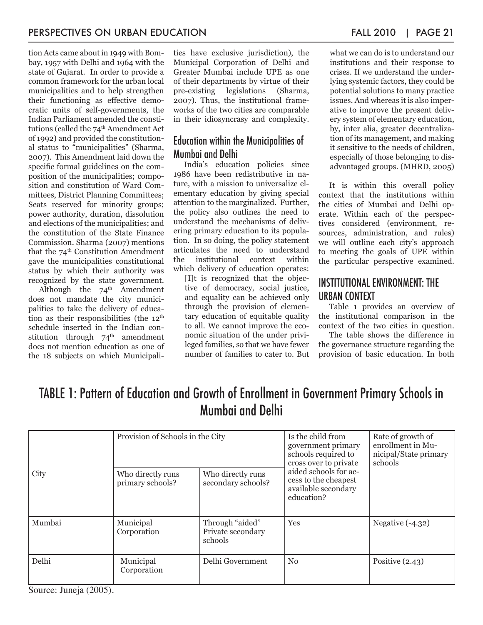tion Acts came about in 1949 with Bombay, 1957 with Delhi and 1964 with the state of Gujarat. In order to provide a common framework for the urban local municipalities and to help strengthen their functioning as effective democratic units of self-governments, the Indian Parliament amended the constitutions (called the 74<sup>th</sup> Amendment Act of 1992) and provided the constitutional status to "municipalities" (Sharma, 2007). This Amendment laid down the specific formal guidelines on the composition of the municipalities; composition and constitution of Ward Committees, District Planning Committees; Seats reserved for minority groups; power authority, duration, dissolution and elections of the municipalities; and the constitution of the State Finance Commission. Sharma (2007) mentions that the  $74<sup>th</sup>$  Constitution Amendment gave the municipalities constitutional status by which their authority was recognized by the state government.

Although the  $74^{\text{th}}$  Amendment does not mandate the city municipalities to take the delivery of education as their responsibilities (the  $12<sup>th</sup>$ schedule inserted in the Indian constitution through  $74<sup>th</sup>$  amendment does not mention education as one of the 18 subjects on which Municipalities have exclusive jurisdiction), the Municipal Corporation of Delhi and Greater Mumbai include UPE as one of their departments by virtue of their pre-existing legislations (Sharma, 2007). Thus, the institutional frameworks of the two cities are comparable in their idiosyncrasy and complexity.

# Education within the Municipalities of Mumbai and Delhi

India's education policies since 1986 have been redistributive in nature, with a mission to universalize elementary education by giving special attention to the marginalized. Further, the policy also outlines the need to understand the mechanisms of delivering primary education to its population. In so doing, the policy statement articulates the need to understand the institutional context within which delivery of education operates:

[I]t is recognized that the objective of democracy, social justice, and equality can be achieved only through the provision of elementary education of equitable quality to all. We cannot improve the economic situation of the under privileged families, so that we have fewer number of families to cater to. But what we can do is to understand our institutions and their response to crises. If we understand the underlying systemic factors, they could be potential solutions to many practice issues. And whereas it is also imperative to improve the present delivery system of elementary education, by, inter alia, greater decentralization of its management, and making it sensitive to the needs of children, especially of those belonging to disadvantaged groups. (MHRD, 2005)

It is within this overall policy context that the institutions within the cities of Mumbai and Delhi operate. Within each of the perspectives considered (environment, resources, administration, and rules) we will outline each city's approach to meeting the goals of UPE within the particular perspective examined.

# INSTITUTIONAL ENVIRONMENT: THE URBAN CONTEXT

Table 1 provides an overview of the institutional comparison in the context of the two cities in question.

The table shows the difference in the governance structure regarding the provision of basic education. In both

# TABLE 1: Pattern of Education and Growth of Enrollment in Government Primary Schools in Mumbai and Delhi

| City   | Provision of Schools in the City      |                                                 | Is the child from<br>government primary<br>schools required to<br>cross over to private | Rate of growth of<br>enrollment in Mu-<br>nicipal/State primary<br>schools |
|--------|---------------------------------------|-------------------------------------------------|-----------------------------------------------------------------------------------------|----------------------------------------------------------------------------|
|        | Who directly runs<br>primary schools? | Who directly runs<br>secondary schools?         | aided schools for ac-<br>cess to the cheapest<br>available secondary<br>education?      |                                                                            |
| Mumbai | Municipal<br>Corporation              | Through "aided"<br>Private secondary<br>schools | Yes                                                                                     | Negative $(-4.32)$                                                         |
| Delhi  | Municipal<br>Corporation              | Delhi Government                                | $\rm No$                                                                                | Positive $(2.43)$                                                          |

Source: Juneja (2005).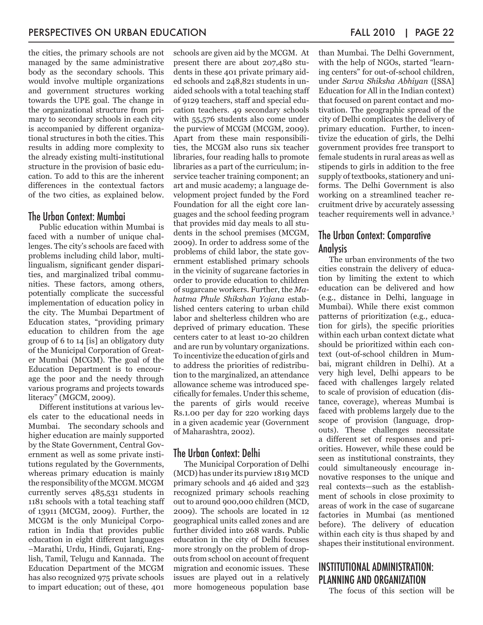the cities, the primary schools are not managed by the same administrative body as the secondary schools. This would involve multiple organizations and government structures working towards the UPE goal. The change in the organizational structure from primary to secondary schools in each city is accompanied by different organizational structures in both the cities. This results in adding more complexity to the already existing multi-institutional structure in the provision of basic education. To add to this are the inherent differences in the contextual factors of the two cities, as explained below.

# The Urban Context: Mumbai

Public education within Mumbai is faced with a number of unique challenges. The city's schools are faced with problems including child labor, multilingualism, significant gender disparities, and marginalized tribal communities. These factors, among others, potentially complicate the successful implementation of education policy in the city. The Mumbai Department of Education states, "providing primary education to children from the age group of 6 to 14 [is] an obligatory duty of the Municipal Corporation of Greater Mumbai (MCGM). The goal of the Education Department is to encourage the poor and the needy through various programs and projects towards literacy" (MGCM, 2009).

Different institutions at various levels cater to the educational needs in Mumbai. The secondary schools and higher education are mainly supported by the State Government, Central Government as well as some private institutions regulated by the Governments, whereas primary education is mainly the responsibility of the MCGM. MCGM currently serves 485,531 students in 1181 schools with a total teaching staff of 13911 (MCGM, 2009). Further, the MCGM is the only Municipal Corporation in India that provides public education in eight different languages –Marathi, Urdu, Hindi, Gujarati, English, Tamil, Telugu and Kannada. The Education Department of the MCGM has also recognized 975 private schools to impart education; out of these, 401

schools are given aid by the MCGM. At present there are about 207,480 students in these 401 private primary aided schools and 248,821 students in unaided schools with a total teaching staff of 9129 teachers, staff and special education teachers. 49 secondary schools with 55,576 students also come under the purview of MCGM (MCGM, 2009). Apart from these main responsibilities, the MCGM also runs six teacher libraries, four reading halls to promote libraries as a part of the curriculum; inservice teacher training component; an art and music academy; a language development project funded by the Ford Foundation for all the eight core languages and the school feeding program that provides mid day meals to all students in the school premises (MCGM, 2009). In order to address some of the problems of child labor, the state government established primary schools in the vicinity of sugarcane factories in order to provide education to children of sugarcane workers. Further, the *Mahatma Phule Shikshan Yojana* established centers catering to urban child labor and shelterless children who are deprived of primary education. These centers cater to at least 10-20 children and are run by voluntary organizations. To incentivize the education of girls and to address the priorities of redistribution to the marginalized, an attendance allowance scheme was introduced specifically for females. Under this scheme, the parents of girls would receive Rs.1.00 per day for 220 working days in a given academic year (Government of Maharashtra, 2002).

#### The Urban Context: Delhi

The Municipal Corporation of Delhi (MCD) has under its purview 1819 MCD primary schools and 46 aided and 323 recognized primary schools reaching out to around 900,000 children (MCD, 2009). The schools are located in 12 geographical units called zones and are further divided into 268 wards. Public education in the city of Delhi focuses more strongly on the problem of dropouts from school on account of frequent migration and economic issues. These issues are played out in a relatively more homogeneous population base than Mumbai. The Delhi Government, with the help of NGOs, started "learning centers" for out-of-school children, under *Sarva Shiksha Abhiyan* ([SSA] Education for All in the Indian context) that focused on parent contact and motivation. The geographic spread of the city of Delhi complicates the delivery of primary education. Further, to incentivize the education of girls, the Delhi government provides free transport to female students in rural areas as well as stipends to girls in addition to the free supply of textbooks, stationery and uniforms. The Delhi Government is also working on a streamlined teacher recruitment drive by accurately assessing teacher requirements well in advance.3

# The Urban Context: Comparative Analysis

The urban environments of the two cities constrain the delivery of education by limiting the extent to which education can be delivered and how (e.g., distance in Delhi, language in Mumbai). While there exist common patterns of prioritization (e.g., education for girls), the specific priorities within each urban context dictate what should be prioritized within each context (out-of-school children in Mumbai, migrant children in Delhi). At a very high level, Delhi appears to be faced with challenges largely related to scale of provision of education (distance, coverage), whereas Mumbai is faced with problems largely due to the scope of provision (language, dropouts). These challenges necessitate a different set of responses and priorities. However, while these could be seen as institutional constraints, they could simultaneously encourage innovative responses to the unique and real contexts—such as the establishment of schools in close proximity to areas of work in the case of sugarcane factories in Mumbai (as mentioned before). The delivery of education within each city is thus shaped by and shapes their institutional environment.

# INSTITUTIONAL ADMINISTRATION: PLANNING AND ORGANIZATION

The focus of this section will be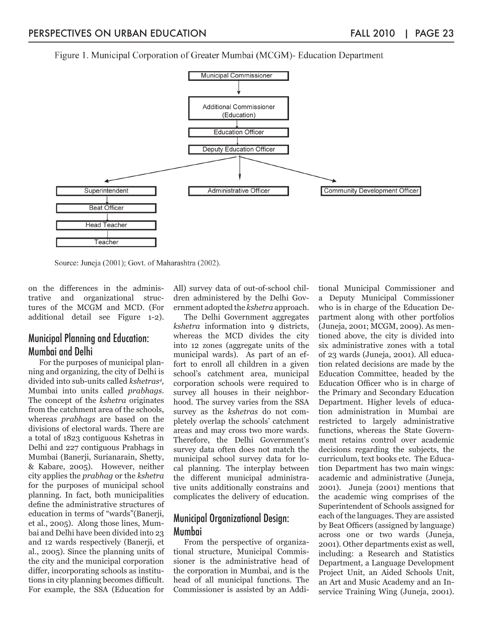Figure 1. Municipal Corporation of Greater Mumbai (MCGM)- Education Department



Source: Juneja (2001); Govt. of Maharashtra (2002).

on the differences in the administrative and organizational structures of the MCGM and MCD. (For additional detail see Figure 1-2).

#### Municipal Planning and Education: Mumbai and Delhi

For the purposes of municipal planning and organizing, the city of Delhi is divided into sub-units called *kshetras4 ,* Mumbai into units called *prabhags*. The concept of the *kshetra* originates from the catchment area of the schools, whereas *prabhags* are based on the divisions of electoral wards. There are a total of 1823 contiguous Kshetras in Delhi and 227 contiguous Prabhags in Mumbai (Banerji, Surianarain, Shetty, & Kabare, 2005). However, neither city applies the *prabhag* or the *kshetra* for the purposes of municipal school planning. In fact, both municipalities define the administrative structures of education in terms of "wards"(Banerji, et al., 2005). Along those lines, Mumbai and Delhi have been divided into 23 and 12 wards respectively (Banerji, et al., 2005). Since the planning units of the city and the municipal corporation differ, incorporating schools as institutions in city planning becomes difficult. For example, the SSA (Education for

All) survey data of out-of-school children administered by the Delhi Government adopted the *kshetra* approach.

The Delhi Government aggregates *kshetra* information into 9 districts, whereas the MCD divides the city into 12 zones (aggregate units of the municipal wards). As part of an effort to enroll all children in a given school's catchment area, municipal corporation schools were required to survey all houses in their neighborhood. The survey varies from the SSA survey as the *kshetras* do not completely overlap the schools' catchment areas and may cross two more wards. Therefore, the Delhi Government's survey data often does not match the municipal school survey data for local planning. The interplay between the different municipal administrative units additionally constrains and complicates the delivery of education.

# Municipal Organizational Design: Mumbai

From the perspective of organizational structure, Municipal Commissioner is the administrative head of the corporation in Mumbai, and is the head of all municipal functions. The Commissioner is assisted by an Additional Municipal Commissioner and a Deputy Municipal Commissioner who is in charge of the Education Department along with other portfolios (Juneja, 2001; MCGM, 2009). As mentioned above, the city is divided into six administrative zones with a total of 23 wards (Juneja, 2001). All education related decisions are made by the Education Committee, headed by the Education Officer who is in charge of the Primary and Secondary Education Department. Higher levels of education administration in Mumbai are restricted to largely administrative functions, whereas the State Government retains control over academic decisions regarding the subjects, the curriculum, text books etc. The Education Department has two main wings: academic and administrative (Juneja, 2001). Juneja (2001) mentions that the academic wing comprises of the Superintendent of Schools assigned for each of the languages. They are assisted by Beat Officers (assigned by language) across one or two wards (Juneja, 2001). Other departments exist as well, including: a Research and Statistics Department, a Language Development Project Unit, an Aided Schools Unit, an Art and Music Academy and an Inservice Training Wing (Juneja, 2001).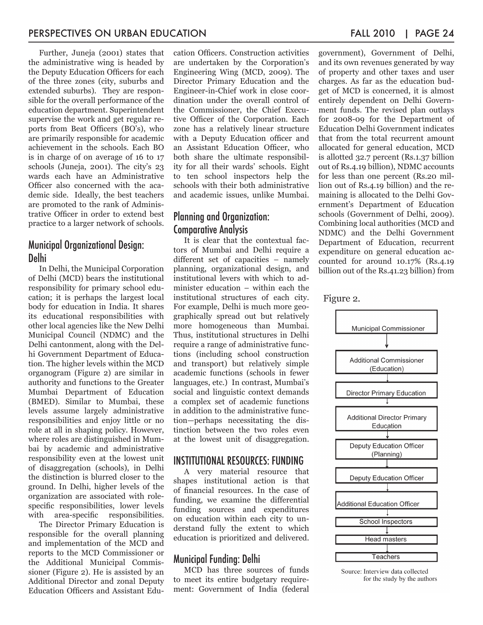Further, Juneja (2001) states that the administrative wing is headed by the Deputy Education Officers for each of the three zones (city, suburbs and extended suburbs). They are responsible for the overall performance of the education department. Superintendent supervise the work and get regular reports from Beat Officers (BO's), who are primarily responsible for academic achievement in the schools. Each BO is in charge of on average of 16 to 17 schools (Juneja, 2001). The city's 23 wards each have an Administrative Officer also concerned with the academic side. Ideally, the best teachers are promoted to the rank of Administrative Officer in order to extend best practice to a larger network of schools.

#### Municipal Organizational Design: Delhi

In Delhi, the Municipal Corporation of Delhi (MCD) bears the institutional responsibility for primary school education; it is perhaps the largest local body for education in India. It shares its educational responsibilities with other local agencies like the New Delhi Municipal Council (NDMC) and the Delhi cantonment, along with the Delhi Government Department of Education. The higher levels within the MCD organogram (Figure 2) are similar in authority and functions to the Greater Mumbai Department of Education (BMED). Similar to Mumbai, these levels assume largely administrative responsibilities and enjoy little or no role at all in shaping policy. However, where roles are distinguished in Mumbai by academic and administrative responsibility even at the lowest unit of disaggregation (schools), in Delhi the distinction is blurred closer to the ground. In Delhi, higher levels of the organization are associated with rolespecific responsibilities, lower levels with area-specific responsibilities.

The Director Primary Education is responsible for the overall planning and implementation of the MCD and reports to the MCD Commissioner or the Additional Municipal Commissioner (Figure 2). He is assisted by an Additional Director and zonal Deputy Education Officers and Assistant Education Officers. Construction activities are undertaken by the Corporation's Engineering Wing (MCD, 2009). The Director Primary Education and the Engineer-in-Chief work in close coordination under the overall control of the Commissioner, the Chief Executive Officer of the Corporation. Each zone has a relatively linear structure with a Deputy Education officer and an Assistant Education Officer, who both share the ultimate responsibility for all their wards' schools. Eight to ten school inspectors help the schools with their both administrative and academic issues, unlike Mumbai.

## Planning and Organization: Comparative Analysis

It is clear that the contextual factors of Mumbai and Delhi require a different set of capacities – namely planning, organizational design, and institutional levers with which to administer education – within each the institutional structures of each city. For example, Delhi is much more geographically spread out but relatively more homogeneous than Mumbai. Thus, institutional structures in Delhi require a range of administrative functions (including school construction and transport) but relatively simple academic functions (schools in fewer languages, etc.) In contrast, Mumbai's social and linguistic context demands a complex set of academic functions in addition to the administrative function—perhaps necessitating the distinction between the two roles even at the lowest unit of disaggregation.

#### INSTITUTIONAL RESOURCES: FUNDING

A very material resource that shapes institutional action is that of financial resources. In the case of funding, we examine the differential funding sources and expenditures on education within each city to understand fully the extent to which education is prioritized and delivered.

#### Municipal Funding: Delhi

MCD has three sources of funds to meet its entire budgetary requirement: Government of India (federal government), Government of Delhi, and its own revenues generated by way of property and other taxes and user charges. As far as the education budget of MCD is concerned, it is almost entirely dependent on Delhi Government funds. The revised plan outlays for 2008-09 for the Department of Education Delhi Government indicates that from the total recurrent amount allocated for general education, MCD is allotted 32.7 percent (Rs.1.37 billion out of Rs.4.19 billion), NDMC accounts for less than one percent (Rs.20 million out of Rs.4.19 billion) and the remaining is allocated to the Delhi Government's Department of Education schools (Government of Delhi, 2009). Combining local authorities (MCD and NDMC) and the Delhi Government Department of Education, recurrent expenditure on general education accounted for around 10.17% (Rs.4.19 billion out of the Rs.41.23 billion) from



#### Source: Interview data collected for the study by the authors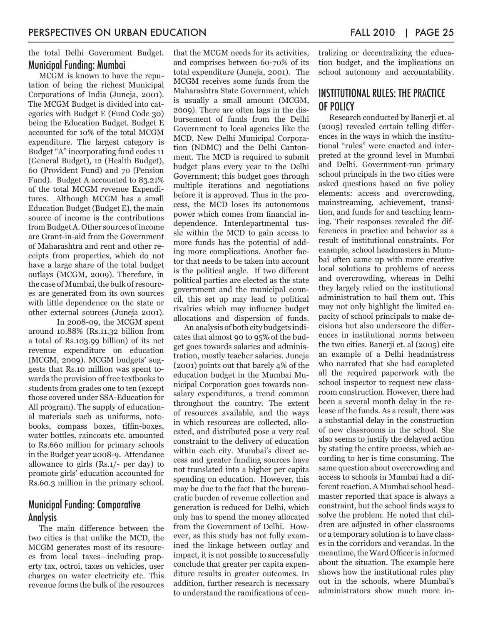the total Delhi Government Budget. Municipal Funding: Mumbai

MCGM is known to have the reputation of being the richest Municipal Corporations of India (Juneja, 2001). The MCGM Budget is divided into categories with Budget E (Fund Code 30) being the Education Budget. Budget E accounted for 10% of the total MCGM expenditure. The largest category is Budget "A" incorporating fund codes 11 (General Budget), 12 (Health Budget), 60 (Provident Fund) and 70 (Pension Fund). Budget A accounted to 83.21% of the total MCGM revenue Expenditures. Although MCGM has a small Education Budget (Budget E), the main source of income is the contributions from Budget A. Other sources of income are Grant-in-aid from the Government of Maharashtra and rent and other receipts from properties, which do not have a large share of the total budget outlays (MCGM, 2009). Therefore, in the case of Mumbai, the bulk of resources are generated from its own sources with little dependence on the state or other external sources (Juneja 2001).

In 2008-09, the MCGM spent around 10.88% (Rs.11.32 billion from a total of Rs.103.99 billion) of its net revenue expenditure on education (MCGM, 2009). MCGM budgets' suggests that Rs.10 million was spent towards the provision of free textbooks to students from grades one to ten (except those covered under SSA-Education for All program). The supply of educational materials such as uniforms, notebooks, compass boxes, tiffin-boxes, water bottles, raincoats etc. amounted to Rs.660 million for primary schools in the Budget year 2008-9. Attendance allowance to girls (Rs.1/- per day) to promote girls' education accounted for Rs.60.3 million in the primary school.

#### Municipal Funding: Comparative Analysis

The main difference between the two cities is that unlike the MCD, the MCGM generates most of its resources from local taxes—including property tax, octroi, taxes on vehicles, user charges on water electricity etc. This revenue forms the bulk of the resources

that the MCGM needs for its activities, and comprises between 60-70% of its total expenditure (Juneja, 2001). The MCGM receives some funds from the Maharashtra State Government, which is usually a small amount (MCGM, 2009). There are often lags in the disbursement of funds from the Delhi Government to local agencies like the MCD, New Delhi Municipal Corporation (NDMC) and the Delhi Cantonment. The MCD is required to submit budget plans every year to the Delhi Government; this budget goes through multiple iterations and negotiations before it is approved. Thus in the process, the MCD loses its autonomous power which comes from financial independence. Interdepartmental tussle within the MCD to gain access to more funds has the potential of adding more complications. Another factor that needs to be taken into account is the political angle. If two different political parties are elected as the state government and the municipal council, this set up may lead to political rivalries which may influence budget allocations and dispersion of funds.

An analysis of both city budgets indicates that almost 90 to 95% of the budget goes towards salaries and administration, mostly teacher salaries. Juneja (2001) points out that barely 4% of the education budget in the Mumbai Municipal Corporation goes towards nonsalary expenditures, a trend common throughout the country. The extent of resources available, and the ways in which resources are collected, allocated, and distributed pose a very real constraint to the delivery of education within each city. Mumbai's direct access and greater funding sources have not translated into a higher per capita spending on education. However, this may be due to the fact that the bureaucratic burden of revenue collection and generation is reduced for Delhi, which only has to spend the money allocated from the Government of Delhi. However, as this study has not fully examined the linkage between outlay and impact, it is not possible to successfully conclude that greater per capita expenditure results in greater outcomes. In addition, further research is necessary to understand the ramifications of centralizing or decentralizing the education budget, and the implications on school autonomy and accountability.

# INSTITUTIONAL RULES: THE PRACTICE OF POLICY

Research conducted by Banerji et. al (2005) revealed certain telling differences in the ways in which the institutional "rules" were enacted and interpreted at the ground level in Mumbai and Delhi. Government-run primary school principals in the two cities were asked questions based on five policy elements: access and overcrowding, mainstreaming, achievement, transition, and funds for and teaching learning. Their responses revealed the differences in practice and behavior as a result of institutional constraints. For example, school headmasters in Mumbai often came up with more creative local solutions to problems of access and overcrowding, whereas in Delhi they largely relied on the institutional administration to bail them out. This may not only highlight the limited capacity of school principals to make decisions but also underscore the differences in institutional norms between the two cities. Banerji et. al (2005) cite an example of a Delhi headmistress who narrated that she had completed all the required paperwork with the school inspector to request new classroom construction. However, there had been a several month delay in the release of the funds. As a result, there was a substantial delay in the construction of new classrooms in the school. She also seems to justify the delayed action by stating the entire process, which according to her is time consuming. The same question about overcrowding and access to schools in Mumbai had a different reaction. A Mumbai school headmaster reported that space is always a constraint, but the school finds ways to solve the problem. He noted that children are adjusted in other classrooms or a temporary solution is to have classes in the corridors and verandas. In the meantime, the Ward Officer is informed about the situation. The example here shows how the institutional rules play out in the schools, where Mumbai's administrators show much more in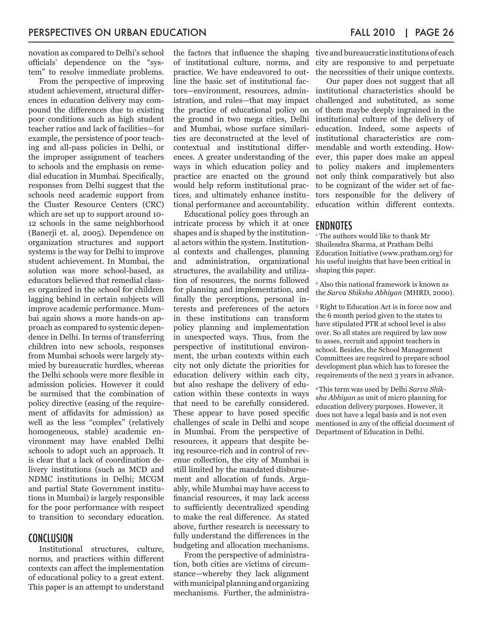novation as compared to Delhi's school officials' dependence on the "system" to resolve immediate problems.

From the perspective of improving student achievement*,* structural differences in education delivery may compound the differences due to existing poor conditions such as high student teacher ratios and lack of facilities—for example, the persistence of poor teaching and all-pass policies in Delhi, or the improper assignment of teachers to schools and the emphasis on remedial education in Mumbai. Specifically, responses from Delhi suggest that the schools need academic support from the Cluster Resource Centers (CRC) which are set up to support around 10- 12 schools in the same neighborhood (Banerji et. al, 2005). Dependence on organization structures and support systems is the way for Delhi to improve student achievement. In Mumbai, the solution was more school-based, as educators believed that remedial classes organized in the school for children lagging behind in certain subjects will improve academic performance. Mumbai again shows a more hands-on approach as compared to systemic dependence in Delhi. In terms of transferring children into new schools, responses from Mumbai schools were largely stymied by bureaucratic hurdles, whereas the Delhi schools were more flexible in admission policies. However it could be surmised that the combination of policy directive (easing of the requirement of affidavits for admission) as well as the less "complex" (relatively homogeneous, stable) academic environment may have enabled Delhi schools to adopt such an approach. It is clear that a lack of coordination delivery institutions (such as MCD and NDMC institutions in Delhi; MCGM and partial State Government institutions in Mumbai) is largely responsible for the poor performance with respect to transition to secondary education.

#### **CONCLUSION**

Institutional structures, culture, norms, and practices within different contexts can affect the implementation of educational policy to a great extent. This paper is an attempt to understand

the factors that influence the shaping of institutional culture, norms, and practice. We have endeavored to outline the basic set of institutional factors—environment, resources, administration, and rules—that may impact the practice of educational policy on the ground in two mega cities, Delhi and Mumbai, whose surface similarities are deconstructed at the level of contextual and institutional differences. A greater understanding of the ways in which education policy and practice are enacted on the ground would help reform institutional practices, and ultimately enhance institutional performance and accountability.

Educational policy goes through an intricate process by which it at once shapes and is shaped by the institutional actors within the system. Institutional contexts and challenges, planning and administration, organizational structures, the availability and utilization of resources, the norms followed for planning and implementation, and finally the perceptions, personal interests and preferences of the actors in these institutions can transform policy planning and implementation in unexpected ways. Thus, from the perspective of institutional environment, the urban contexts within each city not only dictate the priorities for education delivery within each city, but also reshape the delivery of education within these contexts in ways that need to be carefully considered. These appear to have posed specific challenges of scale in Delhi and scope in Mumbai. From the perspective of resources, it appears that despite being resource-rich and in control of revenue collection, the city of Mumbai is still limited by the mandated disbursement and allocation of funds. Arguably, while Mumbai may have access to financial resources, it may lack access to sufficiently decentralized spending to make the real difference. As stated above, further research is necessary to fully understand the differences in the budgeting and allocation mechanisms.

From the perspective of administration, both cities are victims of circumstance—whereby they lack alignment with municipal planning and organizing mechanisms. Further, the administra-

tive and bureaucratic institutions of each city are responsive to and perpetuate the necessities of their unique contexts.

Our paper does not suggest that all institutional characteristics should be challenged and substituted, as some of them maybe deeply ingrained in the institutional culture of the delivery of education. Indeed, some aspects of institutional characteristics are commendable and worth extending. However, this paper does make an appeal to policy makers and implementers not only think comparatively but also to be cognizant of the wider set of factors responsible for the delivery of education within different contexts.

#### ENDNOTES

1 The authors would like to thank Mr Shailendra Sharma, at Pratham Delhi Education Initiative [\(www.pratham.org](http://www.pratham.org)) for his useful insights that have been critical in shaping this paper.

2 Also this national framework is known as the *Sarva Shiksha Abhiyan* (MHRD, 2000).

3 Right to Education Act is in force now and the 6 month period given to the states to have stipulated PTR at school level is also over. So all states are required by law now to asses, recruit and appoint teachers in school. Besides, the School Management Committees are required to prepare school development plan which has to foresee the requirements of the next 3 years in advance.

4 This term was used by Delhi *Sarva Shiksha Abhiyan* as unit of micro planning for education delivery purposes. However, it does not have a legal basis and is not even mentioned in any of the official document of Department of Education in Delhi.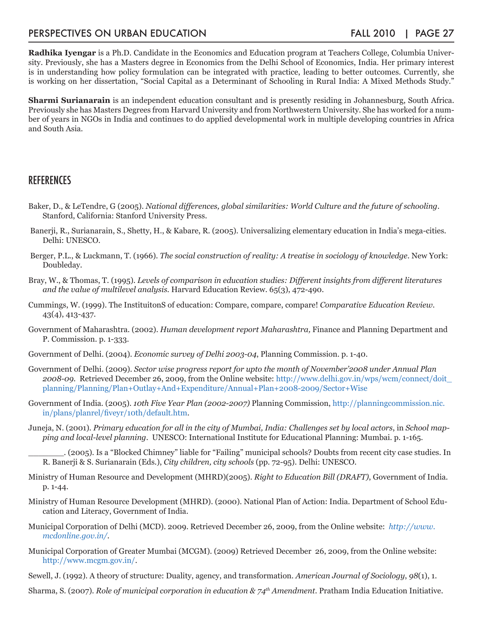#### PERSPECTIVES ON URBAN EDUCATION FALL 2010 | PAGE 27

**Radhika Iyengar** is a Ph.D. Candidate in the Economics and Education program at Teachers College, Columbia University. Previously, she has a Masters degree in Economics from the Delhi School of Economics, India. Her primary interest is in understanding how policy formulation can be integrated with practice, leading to better outcomes. Currently, she is working on her dissertation, "Social Capital as a Determinant of Schooling in Rural India: A Mixed Methods Study."

**Sharmi Surianarain** is an independent education consultant and is presently residing in Johannesburg, South Africa. Previously she has Masters Degrees from Harvard University and from Northwestern University. She has worked for a number of years in NGOs in India and continues to do applied developmental work in multiple developing countries in Africa and South Asia.

#### **REFERENCES**

- Baker, D., & LeTendre, G (2005). *National differences, global similarities: World Culture and the future of schooling*. Stanford, California: Stanford University Press.
- Banerji, R., Surianarain, S., Shetty, H., & Kabare, R. (2005). Universalizing elementary education in India's mega-cities. Delhi: UNESCO.
- Berger, P.L., & Luckmann, T. (1966). *The social construction of reality: A treatise in sociology of knowledge*. New York: Doubleday.
- Bray, W., & Thomas, T. (1995). *Levels of comparison in education studies: Different insights from different literatures and the value of multilevel analysis.* Harvard Education Review. 65(3), 472-490.
- Cummings, W. (1999). The InstituitonS of education: Compare, compare, compare! *Comparative Education Review*. 43(4), 413-437.
- Government of Maharashtra. (2002). *Human development report Maharashtra,* Finance and Planning Department and P. Commission. p. 1-333.
- Government of Delhi. (2004). *Economic survey of Delhi 2003-04*, Planning Commission. p. 1-40.
- Government of Delhi. (2009). *Sector wise progress report for upto the month of November'2008 under Annual Plan 2008-09.* Retrieved December 26, 2009, from the Online website: [http://www.delhi.gov.in/wps/wcm/connect/doit\\_](http://www.delhi.gov.in/wps/wcm/connect/doit_planning/Planning/Plan+Outlay+And+Expenditure/Annual+Plan+2008-2009/Sector+Wise) [planning/Planning/Plan+Outlay+And+Expenditure/Annual+Plan+2008-2009/Sector+Wise](http://www.delhi.gov.in/wps/wcm/connect/doit_planning/Planning/Plan+Outlay+And+Expenditure/Annual+Plan+2008-2009/Sector+Wise)
- Government of India. (2005). *10th Five Year Plan (2002-2007)* Planning Commission, [http://planningcommission.nic.](http://planningcommission.nic.in/plans/planrel/fiveyr/10th/default.htm) [in/plans/planrel/fiveyr/10th/default.htm](http://planningcommission.nic.in/plans/planrel/fiveyr/10th/default.htm).
- Juneja, N. (2001). *Primary education for all in the city of Mumbai, India: Challenges set by local actors*, in *School mapping and local-level planning*. UNESCO: International Institute for Educational Planning: Mumbai. p. 1-165.

\_\_\_\_\_\_\_. (2005). Is a "Blocked Chimney" liable for "Failing" municipal schools? Doubts from recent city case studies. In R. Banerji & S. Surianarain (Eds.), *City children, city schools* (pp. 72-95). Delhi: UNESCO.

- Ministry of Human Resource and Development (MHRD)(2005). *Right to Education Bill (DRAFT)*, Government of India. p. 1-44.
- Ministry of Human Resource Development (MHRD). (2000). National Plan of Action: India. Department of School Education and Literacy, Government of India.
- Municipal Corporation of Delhi (MCD). 2009. Retrieved December 26, 2009, from the Online website: *[http://www.](http://www.mcdonline.gov.in/) [mcdonline.gov.in/](http://www.mcdonline.gov.in/).*
- Municipal Corporation of Greater Mumbai (MCGM). (2009) Retrieved December 26, 2009, from the Online website: <http://www.mcgm.gov.in/>.
- Sewell, J. (1992). A theory of structure: Duality, agency, and transformation. *American Journal of Sociology*, *98*(1), 1.

Sharma, S. (2007). *Role of municipal corporation in education & 74th Amendment*. Pratham India Education Initiative.